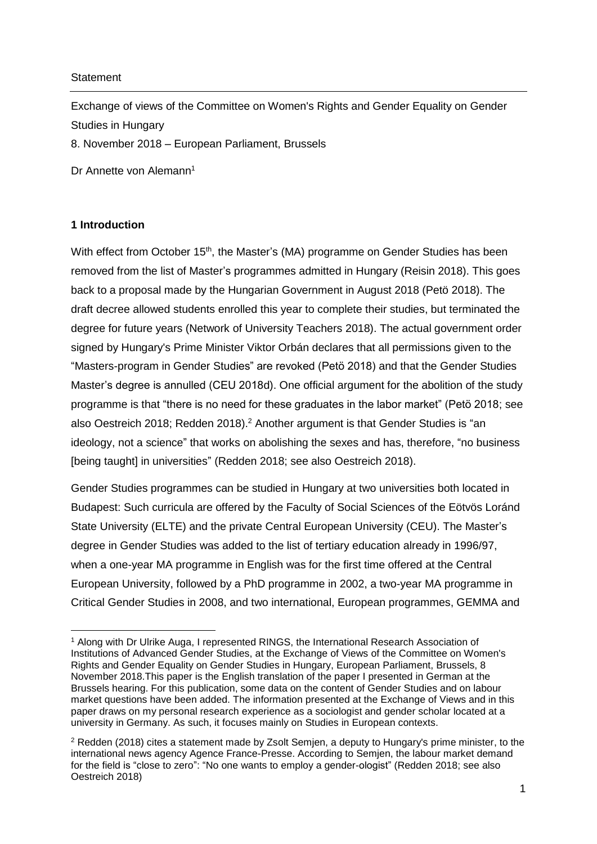### **Statement**

Exchange of views of the Committee on Women's Rights and Gender Equality on Gender Studies in Hungary

8. November 2018 – European Parliament, Brussels

Dr Annette von Alemann<sup>1</sup>

# **1 Introduction**

1

With effect from October 15<sup>th</sup>, the Master's (MA) programme on Gender Studies has been removed from the list of Master's programmes admitted in Hungary (Reisin 2018). This goes back to a proposal made by the Hungarian Government in August 2018 (Petö 2018). The draft decree allowed students enrolled this year to complete their studies, but terminated the degree for future years (Network of University Teachers 2018). The actual government order signed by Hungary's Prime Minister Viktor Orbán declares that all permissions given to the "Masters-program in Gender Studies" are revoked (Petö 2018) and that the Gender Studies Master's degree is annulled (CEU 2018d). One official argument for the abolition of the study programme is that "there is no need for these graduates in the labor market" (Petö 2018; see also Oestreich 2018; Redden 2018).<sup>2</sup> Another argument is that Gender Studies is "an ideology, not a science" that works on abolishing the sexes and has, therefore, "no business [being taught] in universities" (Redden 2018; see also Oestreich 2018).

Gender Studies programmes can be studied in Hungary at two universities both located in Budapest: Such curricula are offered by the Faculty of Social Sciences of the Eötvös Loránd State University (ELTE) and the private Central European University (CEU). The Master's degree in Gender Studies was added to the list of tertiary education already in 1996/97, when a one-year MA programme in English was for the first time offered at the Central European University, followed by a PhD programme in 2002, a two-year MA programme in Critical Gender Studies in 2008, and two international, European programmes, GEMMA and

<sup>1</sup> Along with Dr Ulrike Auga, I represented RINGS, the International Research Association of Institutions of Advanced Gender Studies, at the Exchange of Views of the Committee on Women's Rights and Gender Equality on Gender Studies in Hungary, European Parliament, Brussels, 8 November 2018.This paper is the English translation of the paper I presented in German at the Brussels hearing. For this publication, some data on the content of Gender Studies and on labour market questions have been added. The information presented at the Exchange of Views and in this paper draws on my personal research experience as a sociologist and gender scholar located at a university in Germany. As such, it focuses mainly on Studies in European contexts.

<sup>2</sup> Redden (2018) cites a statement made by Zsolt Semjen, a deputy to Hungary's prime minister, to the international news agency Agence France-Presse. According to Semjen, the labour market demand for the field is "close to zero": "No one wants to employ a gender-ologist" (Redden 2018; see also Oestreich 2018)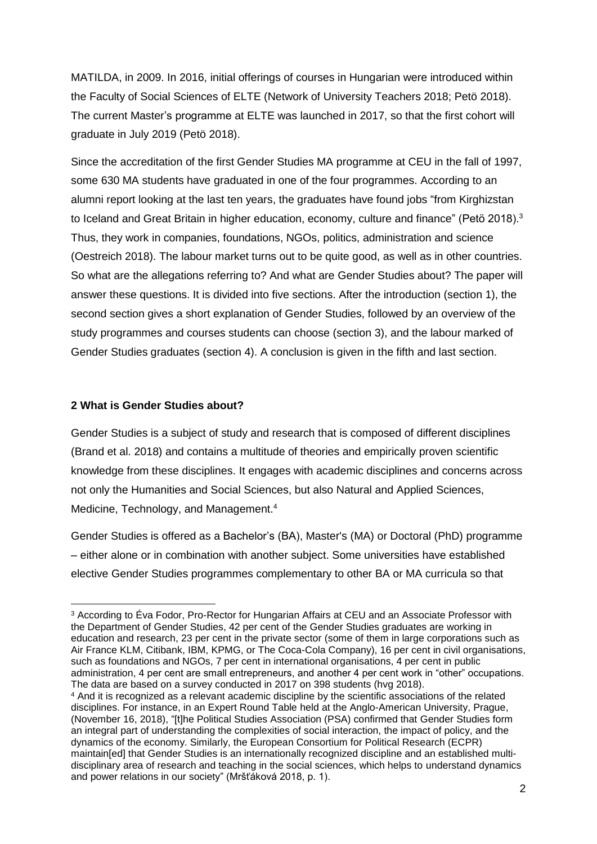MATILDA, in 2009. In 2016, initial offerings of courses in Hungarian were introduced within the Faculty of Social Sciences of ELTE (Network of University Teachers 2018; Petö 2018). The current Master's programme at ELTE was launched in 2017, so that the first cohort will graduate in July 2019 (Petö 2018).

Since the accreditation of the first Gender Studies MA programme at CEU in the fall of 1997, some 630 MA students have graduated in one of the four programmes. According to an alumni report looking at the last ten years, the graduates have found jobs "from Kirghizstan to Iceland and Great Britain in higher education, economy, culture and finance" (Petö 2018).<sup>3</sup> Thus, they work in companies, foundations, NGOs, politics, administration and science (Oestreich 2018). The labour market turns out to be quite good, as well as in other countries. So what are the allegations referring to? And what are Gender Studies about? The paper will answer these questions. It is divided into five sections. After the introduction (section 1), the second section gives a short explanation of Gender Studies, followed by an overview of the study programmes and courses students can choose (section 3), and the labour marked of Gender Studies graduates (section 4). A conclusion is given in the fifth and last section.

#### **2 What is Gender Studies about?**

 $\overline{a}$ 

Gender Studies is a subject of study and research that is composed of different disciplines (Brand et al. 2018) and contains a multitude of theories and empirically proven scientific knowledge from these disciplines. It engages with academic disciplines and concerns across not only the Humanities and Social Sciences, but also Natural and Applied Sciences, Medicine, Technology, and Management.<sup>4</sup>

Gender Studies is offered as a Bachelor's (BA), Master's (MA) or Doctoral (PhD) programme – either alone or in combination with another subject. Some universities have established elective Gender Studies programmes complementary to other BA or MA curricula so that

<sup>3</sup> According to Éva Fodor, Pro-Rector for Hungarian Affairs at CEU and an Associate Professor with the Department of Gender Studies, 42 per cent of the Gender Studies graduates are working in education and research, 23 per cent in the private sector (some of them in large corporations such as Air France KLM, Citibank, IBM, KPMG, or The Coca-Cola Company), 16 per cent in civil organisations, such as foundations and NGOs, 7 per cent in international organisations, 4 per cent in public administration, 4 per cent are small entrepreneurs, and another 4 per cent work in "other" occupations. The data are based on a survey conducted in 2017 on 398 students (hvg 2018).

<sup>4</sup> And it is recognized as a relevant academic discipline by the scientific associations of the related disciplines. For instance, in an Expert Round Table held at the Anglo-American University, Prague, (November 16, 2018), "[t]he Political Studies Association (PSA) confirmed that Gender Studies form an integral part of understanding the complexities of social interaction, the impact of policy, and the dynamics of the economy. Similarly, the European Consortium for Political Research (ECPR) maintain[ed] that Gender Studies is an internationally recognized discipline and an established multidisciplinary area of research and teaching in the social sciences, which helps to understand dynamics and power relations in our society" (Mršťáková 2018, p. 1).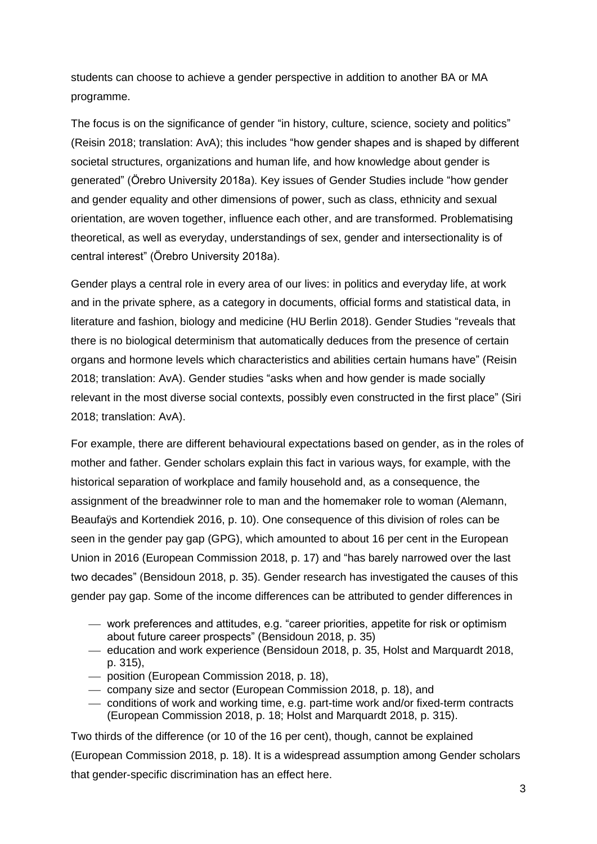students can choose to achieve a gender perspective in addition to another BA or MA programme.

The focus is on the significance of gender "in history, culture, science, society and politics" (Reisin 2018; translation: AvA); this includes "how gender shapes and is shaped by different societal structures, organizations and human life, and how knowledge about gender is generated" (Örebro University 2018a). Key issues of Gender Studies include "how gender and gender equality and other dimensions of power, such as class, ethnicity and sexual orientation, are woven together, influence each other, and are transformed. Problematising theoretical, as well as everyday, understandings of sex, gender and intersectionality is of central interest" (Örebro University 2018a).

Gender plays a central role in every area of our lives: in politics and everyday life, at work and in the private sphere, as a category in documents, official forms and statistical data, in literature and fashion, biology and medicine (HU Berlin 2018). Gender Studies "reveals that there is no biological determinism that automatically deduces from the presence of certain organs and hormone levels which characteristics and abilities certain humans have" (Reisin 2018; translation: AvA). Gender studies "asks when and how gender is made socially relevant in the most diverse social contexts, possibly even constructed in the first place" (Siri 2018; translation: AvA).

For example, there are different behavioural expectations based on gender, as in the roles of mother and father. Gender scholars explain this fact in various ways, for example, with the historical separation of workplace and family household and, as a consequence, the assignment of the breadwinner role to man and the homemaker role to woman (Alemann, Beaufaÿs and Kortendiek 2016, p. 10). One consequence of this division of roles can be seen in the gender pay gap (GPG), which amounted to about 16 per cent in the European Union in 2016 (European Commission 2018, p. 17) and "has barely narrowed over the last two decades" (Bensidoun 2018, p. 35). Gender research has investigated the causes of this gender pay gap. Some of the income differences can be attributed to gender differences in

- work preferences and attitudes, e.g. "career priorities, appetite for risk or optimism about future career prospects" (Bensidoun 2018, p. 35)
- education and work experience (Bensidoun 2018, p. 35, Holst and Marquardt 2018, p. 315),
- position (European Commission 2018, p. 18),
- company size and sector (European Commission 2018, p. 18), and
- conditions of work and working time, e.g. part-time work and/or fixed-term contracts (European Commission 2018, p. 18; Holst and Marquardt 2018, p. 315).

Two thirds of the difference (or 10 of the 16 per cent), though, cannot be explained (European Commission 2018, p. 18). It is a widespread assumption among Gender scholars that gender-specific discrimination has an effect here.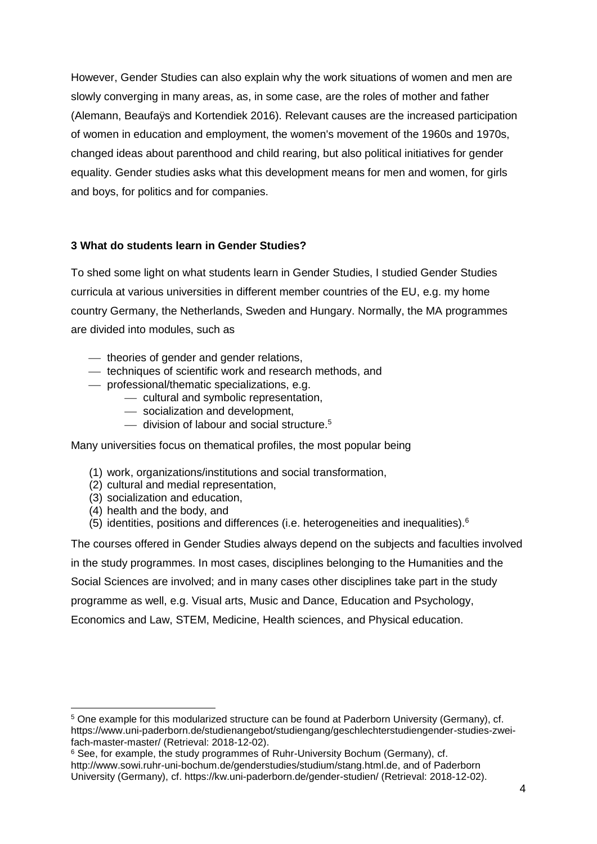However, Gender Studies can also explain why the work situations of women and men are slowly converging in many areas, as, in some case, are the roles of mother and father (Alemann, Beaufaÿs and Kortendiek 2016). Relevant causes are the increased participation of women in education and employment, the women's movement of the 1960s and 1970s, changed ideas about parenthood and child rearing, but also political initiatives for gender equality. Gender studies asks what this development means for men and women, for girls and boys, for politics and for companies.

## **3 What do students learn in Gender Studies?**

To shed some light on what students learn in Gender Studies, I studied Gender Studies curricula at various universities in different member countries of the EU, e.g. my home country Germany, the Netherlands, Sweden and Hungary. Normally, the MA programmes are divided into modules, such as

- $-$  theories of gender and gender relations,
- $-$  techniques of scientific work and research methods, and
- professional/thematic specializations, e.g.
	- cultural and symbolic representation,
	- socialization and development,
	- $-$  division of labour and social structure.<sup>5</sup>

Many universities focus on thematical profiles, the most popular being

- (1) work, organizations/institutions and social transformation,
- (2) cultural and medial representation,
- (3) socialization and education,
- (4) health and the body, and
- (5) identities, positions and differences (i.e. heterogeneities and inequalities).<sup>6</sup>

The courses offered in Gender Studies always depend on the subjects and faculties involved in the study programmes. In most cases, disciplines belonging to the Humanities and the Social Sciences are involved; and in many cases other disciplines take part in the study programme as well, e.g. Visual arts, Music and Dance, Education and Psychology, Economics and Law, STEM, Medicine, Health sciences, and Physical education.

**<sup>.</sup>** <sup>5</sup> One example for this modularized structure can be found at Paderborn University (Germany), cf. https://www.uni-paderborn.de/studienangebot/studiengang/geschlechterstudiengender-studies-zweifach-master-master/ (Retrieval: 2018-12-02).

<sup>6</sup> See, for example, the study programmes of Ruhr-University Bochum (Germany), cf. http://www.sowi.ruhr-uni-bochum.de/genderstudies/studium/stang.html.de, and of Paderborn University (Germany), cf. https://kw.uni-paderborn.de/gender-studien/ (Retrieval: 2018-12-02).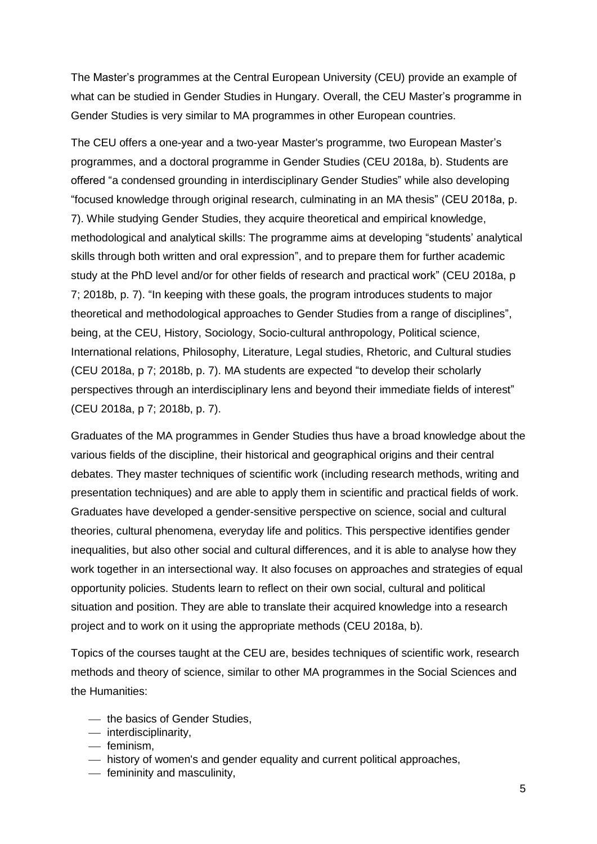The Master's programmes at the Central European University (CEU) provide an example of what can be studied in Gender Studies in Hungary. Overall, the CEU Master's programme in Gender Studies is very similar to MA programmes in other European countries.

The CEU offers a one-year and a two-year Master's programme, two European Master's programmes, and a doctoral programme in Gender Studies (CEU 2018a, b). Students are offered "a condensed grounding in interdisciplinary Gender Studies" while also developing "focused knowledge through original research, culminating in an MA thesis" (CEU 2018a, p. 7). While studying Gender Studies, they acquire theoretical and empirical knowledge, methodological and analytical skills: The programme aims at developing "students' analytical skills through both written and oral expression", and to prepare them for further academic study at the PhD level and/or for other fields of research and practical work" (CEU 2018a, p 7; 2018b, p. 7). "In keeping with these goals, the program introduces students to major theoretical and methodological approaches to Gender Studies from a range of disciplines", being, at the CEU, History, Sociology, Socio-cultural anthropology, Political science, International relations, Philosophy, Literature, Legal studies, Rhetoric, and Cultural studies (CEU 2018a, p 7; 2018b, p. 7). MA students are expected "to develop their scholarly perspectives through an interdisciplinary lens and beyond their immediate fields of interest" (CEU 2018a, p 7; 2018b, p. 7).

Graduates of the MA programmes in Gender Studies thus have a broad knowledge about the various fields of the discipline, their historical and geographical origins and their central debates. They master techniques of scientific work (including research methods, writing and presentation techniques) and are able to apply them in scientific and practical fields of work. Graduates have developed a gender-sensitive perspective on science, social and cultural theories, cultural phenomena, everyday life and politics. This perspective identifies gender inequalities, but also other social and cultural differences, and it is able to analyse how they work together in an intersectional way. It also focuses on approaches and strategies of equal opportunity policies. Students learn to reflect on their own social, cultural and political situation and position. They are able to translate their acquired knowledge into a research project and to work on it using the appropriate methods (CEU 2018a, b).

Topics of the courses taught at the CEU are, besides techniques of scientific work, research methods and theory of science, similar to other MA programmes in the Social Sciences and the Humanities:

- $-$  the basics of Gender Studies.
- interdisciplinarity,
- $-$  feminism.
- $-$  history of women's and gender equality and current political approaches,
- femininity and masculinity,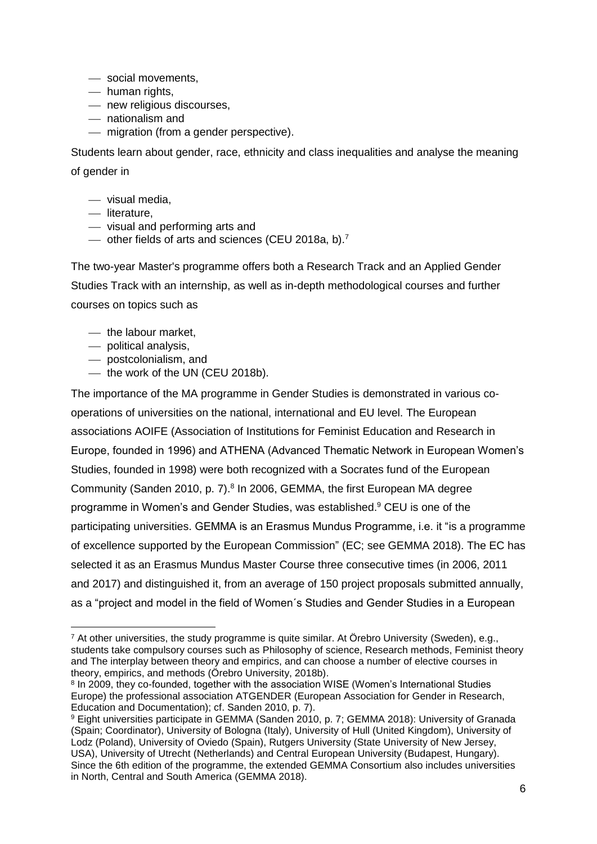- social movements,
- human rights,
- new religious discourses,
- nationalism and
- $-$  migration (from a gender perspective).

Students learn about gender, race, ethnicity and class inequalities and analyse the meaning of gender in

- $-$  visual media.
- literature,
- visual and performing arts and
- $\sim$  other fields of arts and sciences (CEU 2018a, b).<sup>7</sup>

The two-year Master's programme offers both a Research Track and an Applied Gender Studies Track with an internship, as well as in-depth methodological courses and further courses on topics such as

- the labour market,
- $-$  political analysis.

**.** 

- postcolonialism, and
- $-$  the work of the UN (CEU 2018b).

The importance of the MA programme in Gender Studies is demonstrated in various cooperations of universities on the national, international and EU level. The European associations AOIFE (Association of Institutions for Feminist Education and Research in Europe, founded in 1996) and ATHENA (Advanced Thematic Network in European Women's Studies, founded in 1998) were both recognized with a Socrates fund of the European Community (Sanden 2010, p. 7).<sup>8</sup> In 2006, GEMMA, the first European MA degree programme in Women's and Gender Studies, was established. <sup>9</sup> CEU is one of the participating universities. GEMMA is an Erasmus Mundus Programme, i.e. it "is a programme of excellence supported by the European Commission" (EC; see GEMMA 2018). The EC has selected it as an Erasmus Mundus Master Course three consecutive times (in 2006, 2011 and 2017) and distinguished it, from an average of 150 project proposals submitted annually, as a "project and model in the field of Women´s Studies and Gender Studies in a European

<sup>7</sup> At other universities, the study programme is quite similar. At Örebro University (Sweden), e.g., students take compulsory courses such as Philosophy of science, Research methods, Feminist theory and The interplay between theory and empirics, and can choose a number of elective courses in theory, empirics, and methods (Örebro University, 2018b).

<sup>&</sup>lt;sup>8</sup> In 2009, they co-founded, together with the association WISE (Women's International Studies Europe) the professional association ATGENDER (European Association for Gender in Research, Education and Documentation); cf. Sanden 2010, p. 7).

<sup>9</sup> Eight universities participate in GEMMA (Sanden 2010, p. 7; GEMMA 2018): University of Granada (Spain; Coordinator), University of Bologna (Italy), University of Hull (United Kingdom), University of Lodz (Poland), University of Oviedo (Spain), Rutgers University (State University of New Jersey, USA), University of Utrecht (Netherlands) and Central European University (Budapest, Hungary). Since the 6th edition of the programme, the extended GEMMA Consortium also includes universities in North, Central and South America (GEMMA 2018).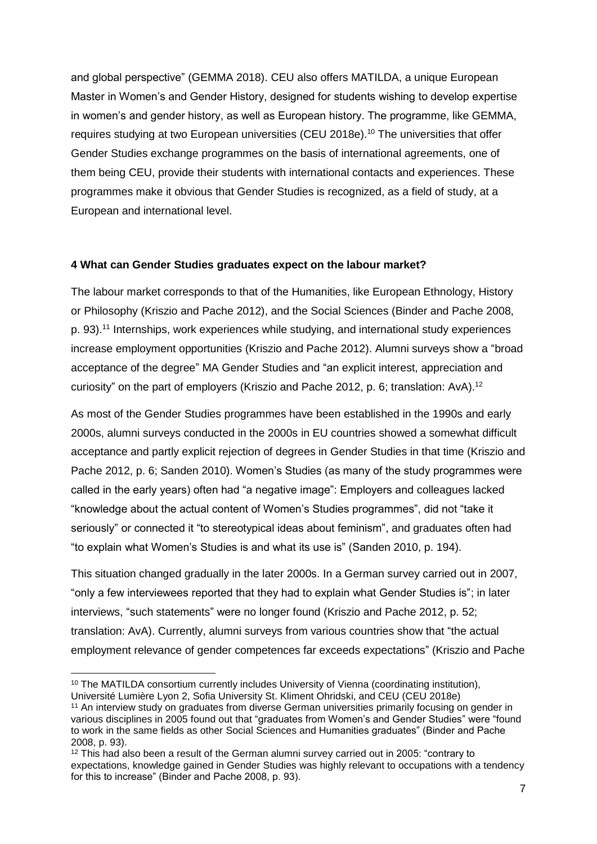and global perspective" (GEMMA 2018). CEU also offers MATILDA, a unique European Master in Women's and Gender History, designed for students wishing to develop expertise in women's and gender history, as well as European history. The programme, like GEMMA, requires studying at two European universities (CEU 2018e). <sup>10</sup> The universities that offer Gender Studies exchange programmes on the basis of international agreements, one of them being CEU, provide their students with international contacts and experiences. These programmes make it obvious that Gender Studies is recognized, as a field of study, at a European and international level.

### **4 What can Gender Studies graduates expect on the labour market?**

The labour market corresponds to that of the Humanities, like European Ethnology, History or Philosophy (Kriszio and Pache 2012), and the Social Sciences (Binder and Pache 2008, p. 93).<sup>11</sup> Internships, work experiences while studying, and international study experiences increase employment opportunities (Kriszio and Pache 2012). Alumni surveys show a "broad acceptance of the degree" MA Gender Studies and "an explicit interest, appreciation and curiosity" on the part of employers (Kriszio and Pache 2012, p. 6; translation: AvA).<sup>12</sup>

As most of the Gender Studies programmes have been established in the 1990s and early 2000s, alumni surveys conducted in the 2000s in EU countries showed a somewhat difficult acceptance and partly explicit rejection of degrees in Gender Studies in that time (Kriszio and Pache 2012, p. 6; Sanden 2010). Women's Studies (as many of the study programmes were called in the early years) often had "a negative image": Employers and colleagues lacked "knowledge about the actual content of Women's Studies programmes", did not "take it seriously" or connected it "to stereotypical ideas about feminism", and graduates often had "to explain what Women's Studies is and what its use is" (Sanden 2010, p. 194).

This situation changed gradually in the later 2000s. In a German survey carried out in 2007, "only a few interviewees reported that they had to explain what Gender Studies is"; in later interviews, "such statements" were no longer found (Kriszio and Pache 2012, p. 52; translation: AvA). Currently, alumni surveys from various countries show that "the actual employment relevance of gender competences far exceeds expectations" (Kriszio and Pache

**.** 

<sup>&</sup>lt;sup>10</sup> The MATILDA consortium currently includes University of Vienna (coordinating institution), Université Lumière Lyon 2, Sofia University St. Kliment Ohridski, and CEU (CEU 2018e)

<sup>&</sup>lt;sup>11</sup> An interview study on graduates from diverse German universities primarily focusing on gender in various disciplines in 2005 found out that "graduates from Women's and Gender Studies" were "found to work in the same fields as other Social Sciences and Humanities graduates" (Binder and Pache 2008, p. 93).

<sup>&</sup>lt;sup>12</sup> This had also been a result of the German alumni survey carried out in 2005: "contrary to expectations, knowledge gained in Gender Studies was highly relevant to occupations with a tendency for this to increase" (Binder and Pache 2008, p. 93).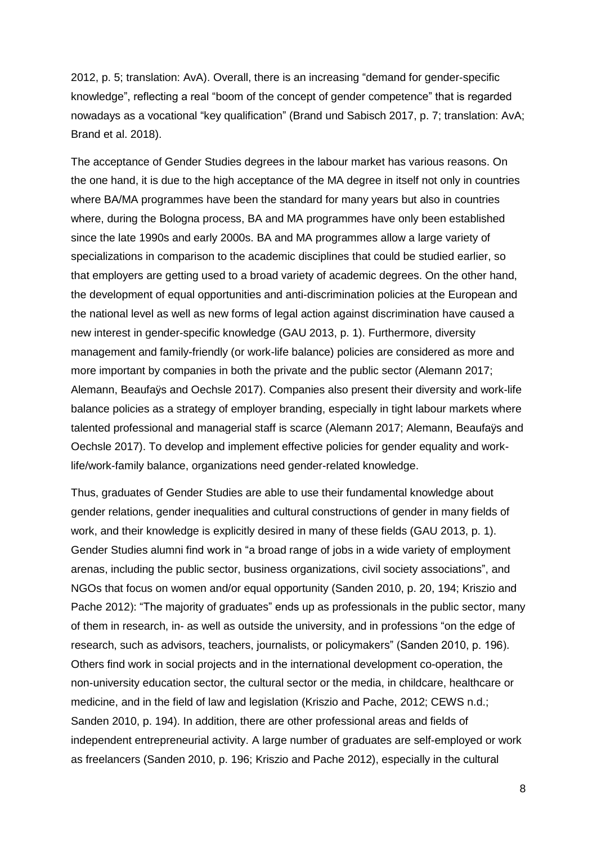2012, p. 5; translation: AvA). Overall, there is an increasing "demand for gender-specific knowledge", reflecting a real "boom of the concept of gender competence" that is regarded nowadays as a vocational "key qualification" (Brand und Sabisch 2017, p. 7; translation: AvA; Brand et al. 2018).

The acceptance of Gender Studies degrees in the labour market has various reasons. On the one hand, it is due to the high acceptance of the MA degree in itself not only in countries where BA/MA programmes have been the standard for many years but also in countries where, during the Bologna process, BA and MA programmes have only been established since the late 1990s and early 2000s. BA and MA programmes allow a large variety of specializations in comparison to the academic disciplines that could be studied earlier, so that employers are getting used to a broad variety of academic degrees. On the other hand, the development of equal opportunities and anti-discrimination policies at the European and the national level as well as new forms of legal action against discrimination have caused a new interest in gender-specific knowledge (GAU 2013, p. 1). Furthermore, diversity management and family-friendly (or work-life balance) policies are considered as more and more important by companies in both the private and the public sector (Alemann 2017; Alemann, Beaufaÿs and Oechsle 2017). Companies also present their diversity and work-life balance policies as a strategy of employer branding, especially in tight labour markets where talented professional and managerial staff is scarce (Alemann 2017; Alemann, Beaufaÿs and Oechsle 2017). To develop and implement effective policies for gender equality and worklife/work-family balance, organizations need gender-related knowledge.

Thus, graduates of Gender Studies are able to use their fundamental knowledge about gender relations, gender inequalities and cultural constructions of gender in many fields of work, and their knowledge is explicitly desired in many of these fields (GAU 2013, p. 1). Gender Studies alumni find work in "a broad range of jobs in a wide variety of employment arenas, including the public sector, business organizations, civil society associations", and NGOs that focus on women and/or equal opportunity (Sanden 2010, p. 20, 194; Kriszio and Pache 2012): "The majority of graduates" ends up as professionals in the public sector, many of them in research, in- as well as outside the university, and in professions "on the edge of research, such as advisors, teachers, journalists, or policymakers" (Sanden 2010, p. 196). Others find work in social projects and in the international development co-operation, the non-university education sector, the cultural sector or the media, in childcare, healthcare or medicine, and in the field of law and legislation (Kriszio and Pache, 2012; CEWS n.d.; Sanden 2010, p. 194). In addition, there are other professional areas and fields of independent entrepreneurial activity. A large number of graduates are self-employed or work as freelancers (Sanden 2010, p. 196; Kriszio and Pache 2012), especially in the cultural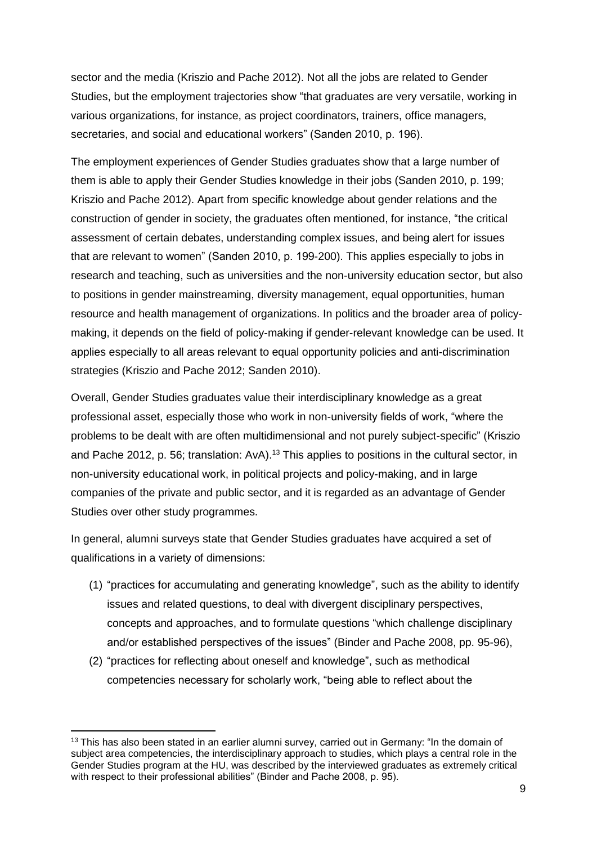sector and the media (Kriszio and Pache 2012). Not all the jobs are related to Gender Studies, but the employment trajectories show "that graduates are very versatile, working in various organizations, for instance, as project coordinators, trainers, office managers, secretaries, and social and educational workers" (Sanden 2010, p. 196).

The employment experiences of Gender Studies graduates show that a large number of them is able to apply their Gender Studies knowledge in their jobs (Sanden 2010, p. 199; Kriszio and Pache 2012). Apart from specific knowledge about gender relations and the construction of gender in society, the graduates often mentioned, for instance, "the critical assessment of certain debates, understanding complex issues, and being alert for issues that are relevant to women" (Sanden 2010, p. 199-200). This applies especially to jobs in research and teaching, such as universities and the non-university education sector, but also to positions in gender mainstreaming, diversity management, equal opportunities, human resource and health management of organizations. In politics and the broader area of policymaking, it depends on the field of policy-making if gender-relevant knowledge can be used. It applies especially to all areas relevant to equal opportunity policies and anti-discrimination strategies (Kriszio and Pache 2012; Sanden 2010).

Overall, Gender Studies graduates value their interdisciplinary knowledge as a great professional asset, especially those who work in non-university fields of work, "where the problems to be dealt with are often multidimensional and not purely subject-specific" (Kriszio and Pache 2012, p. 56; translation: AvA).<sup>13</sup> This applies to positions in the cultural sector, in non-university educational work, in political projects and policy-making, and in large companies of the private and public sector, and it is regarded as an advantage of Gender Studies over other study programmes.

In general, alumni surveys state that Gender Studies graduates have acquired a set of qualifications in a variety of dimensions:

- (1) "practices for accumulating and generating knowledge", such as the ability to identify issues and related questions, to deal with divergent disciplinary perspectives, concepts and approaches, and to formulate questions "which challenge disciplinary and/or established perspectives of the issues" (Binder and Pache 2008, pp. 95-96),
- (2) "practices for reflecting about oneself and knowledge", such as methodical competencies necessary for scholarly work, "being able to reflect about the

**.** 

<sup>&</sup>lt;sup>13</sup> This has also been stated in an earlier alumni survey, carried out in Germany: "In the domain of subject area competencies, the interdisciplinary approach to studies, which plays a central role in the Gender Studies program at the HU, was described by the interviewed graduates as extremely critical with respect to their professional abilities" (Binder and Pache 2008, p. 95).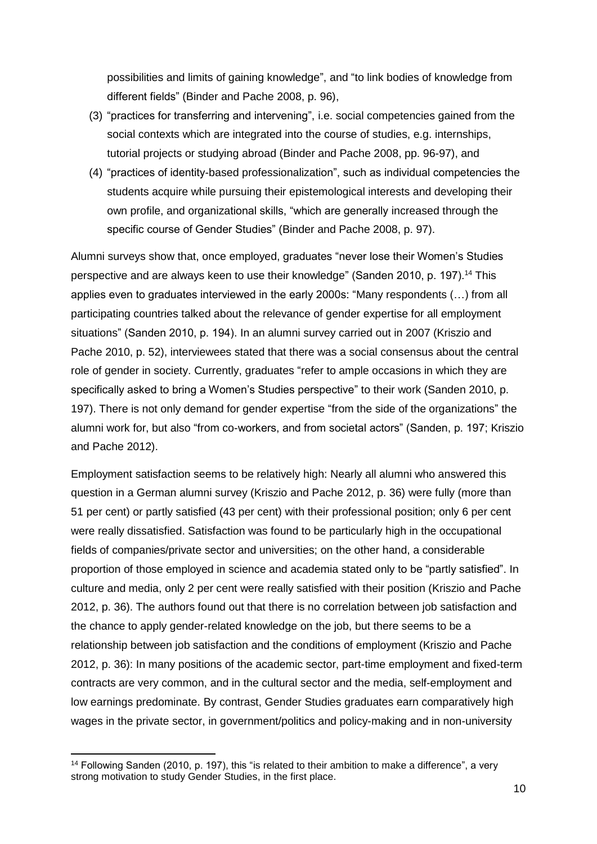possibilities and limits of gaining knowledge", and "to link bodies of knowledge from different fields" (Binder and Pache 2008, p. 96),

- (3) "practices for transferring and intervening", i.e. social competencies gained from the social contexts which are integrated into the course of studies, e.g. internships, tutorial projects or studying abroad (Binder and Pache 2008, pp. 96-97), and
- (4) "practices of identity-based professionalization", such as individual competencies the students acquire while pursuing their epistemological interests and developing their own profile, and organizational skills, "which are generally increased through the specific course of Gender Studies" (Binder and Pache 2008, p. 97).

Alumni surveys show that, once employed, graduates "never lose their Women's Studies perspective and are always keen to use their knowledge" (Sanden 2010, p. 197).<sup>14</sup> This applies even to graduates interviewed in the early 2000s: "Many respondents (…) from all participating countries talked about the relevance of gender expertise for all employment situations" (Sanden 2010, p. 194). In an alumni survey carried out in 2007 (Kriszio and Pache 2010, p. 52), interviewees stated that there was a social consensus about the central role of gender in society. Currently, graduates "refer to ample occasions in which they are specifically asked to bring a Women's Studies perspective" to their work (Sanden 2010, p. 197). There is not only demand for gender expertise "from the side of the organizations" the alumni work for, but also "from co-workers, and from societal actors" (Sanden, p. 197; Kriszio and Pache 2012).

Employment satisfaction seems to be relatively high: Nearly all alumni who answered this question in a German alumni survey (Kriszio and Pache 2012, p. 36) were fully (more than 51 per cent) or partly satisfied (43 per cent) with their professional position; only 6 per cent were really dissatisfied. Satisfaction was found to be particularly high in the occupational fields of companies/private sector and universities; on the other hand, a considerable proportion of those employed in science and academia stated only to be "partly satisfied". In culture and media, only 2 per cent were really satisfied with their position (Kriszio and Pache 2012, p. 36). The authors found out that there is no correlation between job satisfaction and the chance to apply gender-related knowledge on the job, but there seems to be a relationship between job satisfaction and the conditions of employment (Kriszio and Pache 2012, p. 36): In many positions of the academic sector, part-time employment and fixed-term contracts are very common, and in the cultural sector and the media, self-employment and low earnings predominate. By contrast, Gender Studies graduates earn comparatively high wages in the private sector, in government/politics and policy-making and in non-university

1

<sup>&</sup>lt;sup>14</sup> Following Sanden (2010, p. 197), this "is related to their ambition to make a difference", a very strong motivation to study Gender Studies, in the first place.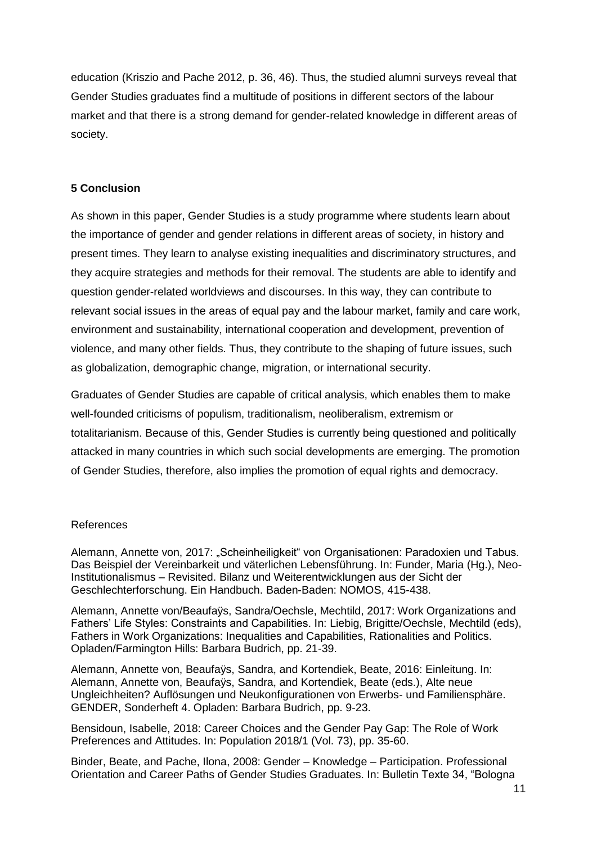education (Kriszio and Pache 2012, p. 36, 46). Thus, the studied alumni surveys reveal that Gender Studies graduates find a multitude of positions in different sectors of the labour market and that there is a strong demand for gender-related knowledge in different areas of society.

### **5 Conclusion**

As shown in this paper, Gender Studies is a study programme where students learn about the importance of gender and gender relations in different areas of society, in history and present times. They learn to analyse existing inequalities and discriminatory structures, and they acquire strategies and methods for their removal. The students are able to identify and question gender-related worldviews and discourses. In this way, they can contribute to relevant social issues in the areas of equal pay and the labour market, family and care work, environment and sustainability, international cooperation and development, prevention of violence, and many other fields. Thus, they contribute to the shaping of future issues, such as globalization, demographic change, migration, or international security.

Graduates of Gender Studies are capable of critical analysis, which enables them to make well-founded criticisms of populism, traditionalism, neoliberalism, extremism or totalitarianism. Because of this, Gender Studies is currently being questioned and politically attacked in many countries in which such social developments are emerging. The promotion of Gender Studies, therefore, also implies the promotion of equal rights and democracy.

### References

Alemann, Annette von, 2017: "Scheinheiligkeit" von Organisationen: Paradoxien und Tabus. Das Beispiel der Vereinbarkeit und väterlichen Lebensführung. In: Funder, Maria (Hg.), Neo-Institutionalismus – Revisited. Bilanz und Weiterentwicklungen aus der Sicht der Geschlechterforschung. Ein Handbuch. Baden-Baden: NOMOS, 415-438.

Alemann, Annette von/Beaufaÿs, Sandra/Oechsle, Mechtild, 2017: Work Organizations and Fathers' Life Styles: Constraints and Capabilities. In: Liebig, Brigitte/Oechsle, Mechtild (eds), Fathers in Work Organizations: Inequalities and Capabilities, Rationalities and Politics. Opladen/Farmington Hills: Barbara Budrich, pp. 21-39.

Alemann, Annette von, Beaufaÿs, Sandra, and Kortendiek, Beate, 2016: Einleitung. In: Alemann, Annette von, Beaufaÿs, Sandra, and Kortendiek, Beate (eds.), Alte neue Ungleichheiten? Auflösungen und Neukonfigurationen von Erwerbs- und Familiensphäre. GENDER, Sonderheft 4. Opladen: Barbara Budrich, pp. 9-23.

Bensidoun, Isabelle, 2018: Career Choices and the Gender Pay Gap: The Role of Work Preferences and Attitudes. In: Population 2018/1 (Vol. 73), pp. 35-60.

Binder, Beate, and Pache, Ilona, 2008: Gender – Knowledge – Participation. Professional Orientation and Career Paths of Gender Studies Graduates. In: Bulletin Texte 34, "Bologna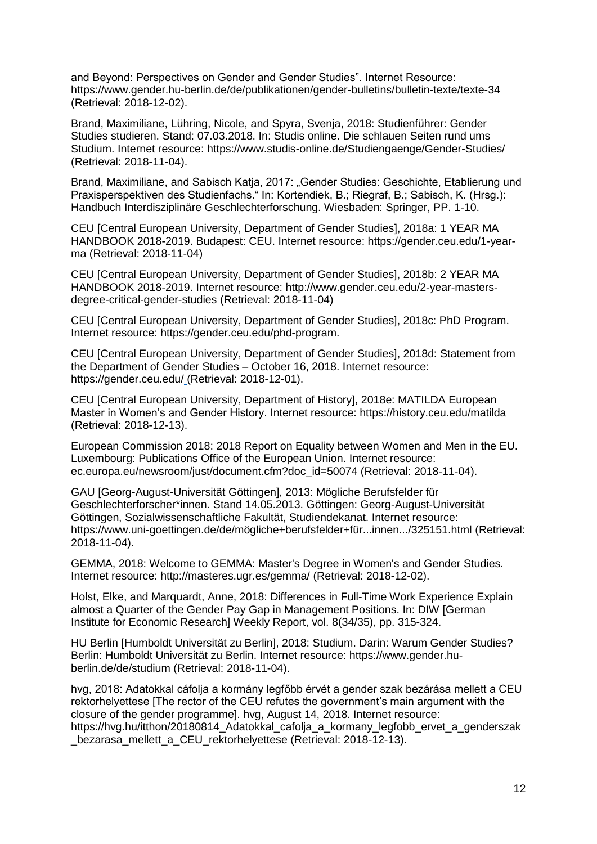and Beyond: Perspectives on Gender and Gender Studies". Internet Resource: <https://www.gender.hu-berlin.de/de/publikationen/gender-bulletins/bulletin-texte/texte-34> (Retrieval: 2018-12-02).

Brand, Maximiliane, Lühring, Nicole, and Spyra, Svenja, 2018: Studienführer: Gender Studies studieren. Stand: 07.03.2018. In: Studis online. Die schlauen Seiten rund ums Studium. Internet resource: https://www.studis-online.de/Studiengaenge/Gender-Studies/ (Retrieval: 2018-11-04).

Brand, Maximiliane, and Sabisch Katja, 2017: "Gender Studies: Geschichte, Etablierung und Praxisperspektiven des Studienfachs." In: Kortendiek, B.; Riegraf, B.; Sabisch, K. (Hrsg.): Handbuch Interdisziplinäre Geschlechterforschung. Wiesbaden: Springer, PP. 1-10.

CEU [Central European University, Department of Gender Studies], 2018a: 1 YEAR MA HANDBOOK 2018-2019. Budapest: CEU. Internet resource: https://gender.ceu.edu/1-yearma (Retrieval: 2018-11-04)

CEU [Central European University, Department of Gender Studies], 2018b: 2 YEAR MA HANDBOOK 2018-2019. Internet resource: http://www.gender.ceu.edu/2-year-mastersdegree-critical-gender-studies (Retrieval: 2018-11-04)

CEU [Central European University, Department of Gender Studies], 2018c: PhD Program. Internet resource: https://gender.ceu.edu/phd-program.

CEU [Central European University, Department of Gender Studies], 2018d: Statement from the Department of Gender Studies – October 16, 2018. Internet resource: https://gender.ceu.edu/ (Retrieval: 2018-12-01).

CEU [Central European University, Department of History], 2018e: MATILDA European Master in Women's and Gender History. Internet resource: https://history.ceu.edu/matilda (Retrieval: 2018-12-13).

European Commission 2018: 2018 Report on Equality between Women and Men in the EU. Luxembourg: Publications Office of the European Union. Internet resource: ec.europa.eu/newsroom/just/document.cfm?doc\_id=50074 (Retrieval: 2018-11-04).

GAU [Georg-August-Universität Göttingen], 2013: Mögliche Berufsfelder für Geschlechterforscher\*innen. Stand 14.05.2013. Göttingen: Georg-August-Universität Göttingen, Sozialwissenschaftliche Fakultät, Studiendekanat. Internet resource: https://www.uni-goettingen.de/de/mögliche+berufsfelder+für...innen.../325151.html (Retrieval: 2018-11-04).

GEMMA, 2018: Welcome to GEMMA: Master's Degree in Women's and Gender Studies. Internet resource: http://masteres.ugr.es/gemma/ (Retrieval: 2018-12-02).

Holst, Elke, and Marquardt, Anne, 2018: Differences in Full-Time Work Experience Explain almost a Quarter of the Gender Pay Gap in Management Positions. In: DIW [German Institute for Economic Research] Weekly Report, vol. 8(34/35), pp. 315-324.

HU Berlin [Humboldt Universität zu Berlin], 2018: Studium. Darin: Warum Gender Studies? Berlin: Humboldt Universität zu Berlin. Internet resource: [https://www.gender.hu](https://www.gender.hu-berlin.de/de/studium)[berlin.de/de/studium](https://www.gender.hu-berlin.de/de/studium) (Retrieval: 2018-11-04).

hvg, 2018: Adatokkal cáfolja a kormány legfőbb érvét a gender szak bezárása mellett a CEU rektorhelyettese [The rector of the CEU refutes the government's main argument with the closure of the gender programme]. hvg, August 14, 2018. Internet resource: https://hvg.hu/itthon/20180814 Adatokkal cafolja a kormany legfobb ervet a genderszak bezarasa mellett a CEU rektorhelyettese (Retrieval: 2018-12-13).